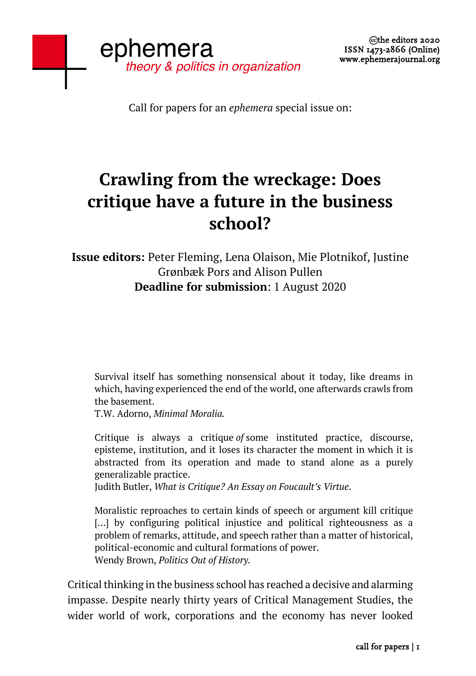Call for papers for an *ephemera* special issue on:

## **Crawling from the wreckage: Does critique have a future in the business school?**

**Issue editors:** Peter Fleming, Lena Olaison, Mie Plotnikof, Justine Grønbæk Pors and Alison Pullen **Deadline for submission**: 1 August 2020

Survival itself has something nonsensical about it today, like dreams in which, having experienced the end of the world, one afterwards crawls from the basement.

T.W. Adorno, *Minimal Moralia.*

Critique is always a critique *of* some instituted practice, discourse, episteme, institution, and it loses its character the moment in which it is abstracted from its operation and made to stand alone as a purely generalizable practice.

Judith Butler, *What is Critique? An Essay on Foucault's Virtue*.

Moralistic reproaches to certain kinds of speech or argument kill critique [...] by configuring political injustice and political righteousness as a problem of remarks, attitude, and speech rather than a matter of historical, political-economic and cultural formations of power. Wendy Brown, *Politics Out of History.*

Critical thinking in the business school has reached a decisive and alarming impasse. Despite nearly thirty years of Critical Management Studies, the wider world of work, corporations and the economy has never looked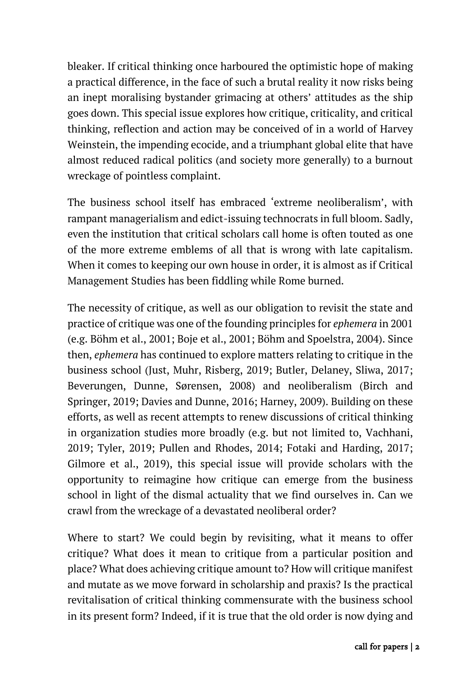bleaker. If critical thinking once harboured the optimistic hope of making a practical difference, in the face of such a brutal reality it now risks being an inept moralising bystander grimacing at others' attitudes as the ship goes down. This special issue explores how critique, criticality, and critical thinking, reflection and action may be conceived of in a world of Harvey Weinstein, the impending ecocide, and a triumphant global elite that have almost reduced radical politics (and society more generally) to a burnout wreckage of pointless complaint.

The business school itself has embraced 'extreme neoliberalism', with rampant managerialism and edict-issuing technocrats in full bloom. Sadly, even the institution that critical scholars call home is often touted as one of the more extreme emblems of all that is wrong with late capitalism. When it comes to keeping our own house in order, it is almost as if Critical Management Studies has been fiddling while Rome burned.

The necessity of critique, as well as our obligation to revisit the state and practice of critique was one of the founding principles for *ephemera* in 2001 (e.g. Böhm et al., 2001; Boje et al., 2001; Böhm and Spoelstra, 2004). Since then, *ephemera* has continued to explore matters relating to critique in the business school (Just, Muhr, Risberg, 2019; Butler, Delaney, Sliwa, 2017; Beverungen, Dunne, Sørensen, 2008) and neoliberalism (Birch and Springer, 2019; Davies and Dunne, 2016; Harney, 2009). Building on these efforts, as well as recent attempts to renew discussions of critical thinking in organization studies more broadly (e.g. but not limited to, Vachhani, 2019; Tyler, 2019; Pullen and Rhodes, 2014; Fotaki and Harding, 2017; Gilmore et al., 2019), this special issue will provide scholars with the opportunity to reimagine how critique can emerge from the business school in light of the dismal actuality that we find ourselves in. Can we crawl from the wreckage of a devastated neoliberal order?

Where to start? We could begin by revisiting, what it means to offer critique? What does it mean to critique from a particular position and place? What does achieving critique amount to? How will critique manifest and mutate as we move forward in scholarship and praxis? Is the practical revitalisation of critical thinking commensurate with the business school in its present form? Indeed, if it is true that the old order is now dying and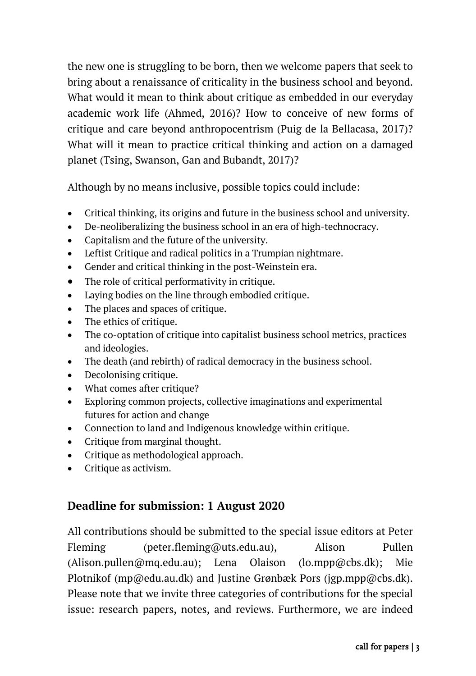the new one is struggling to be born, then we welcome papers that seek to bring about a renaissance of criticality in the business school and beyond. What would it mean to think about critique as embedded in our everyday academic work life (Ahmed, 2016)? How to conceive of new forms of critique and care beyond anthropocentrism (Puig de la Bellacasa, 2017)? What will it mean to practice critical thinking and action on a damaged planet (Tsing, Swanson, Gan and Bubandt, 2017)?

Although by no means inclusive, possible topics could include:

- Critical thinking, its origins and future in the business school and university.
- De-neoliberalizing the business school in an era of high-technocracy.
- Capitalism and the future of the university.
- Leftist Critique and radical politics in a Trumpian nightmare.
- Gender and critical thinking in the post-Weinstein era.
- The role of critical performativity in critique.
- Laying bodies on the line through embodied critique.
- The places and spaces of critique.
- The ethics of critique.
- The co-optation of critique into capitalist business school metrics, practices and ideologies.
- The death (and rebirth) of radical democracy in the business school.
- Decolonising critique.
- What comes after critique?
- Exploring common projects, collective imaginations and experimental futures for action and change
- Connection to land and Indigenous knowledge within critique.
- Critique from marginal thought.
- Critique as methodological approach.
- Critique as activism.

## **Deadline for submission: 1 August 2020**

All contributions should be submitted to the special issue editors at Peter Fleming (peter.fleming@uts.edu.au), Alison Pullen (Alison.pullen@mq.edu.au); Lena Olaison (lo.mpp@cbs.dk); Mie Plotnikof (mp@edu.au.dk) and Justine Grønbæk Pors (jgp.mpp@cbs.dk). Please note that we invite three categories of contributions for the special issue: research papers, notes, and reviews. Furthermore, we are indeed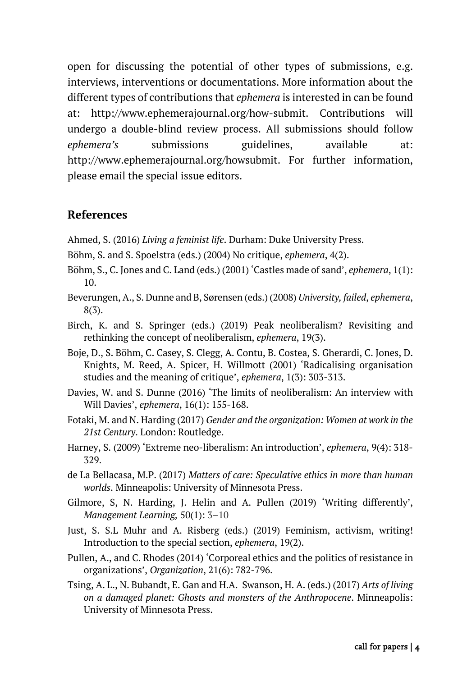open for discussing the potential of other types of submissions, e.g. interviews, interventions or documentations. More information about the different types of contributions that *ephemera* is interested in can be found at: http://www.ephemerajournal.org/how-submit. Contributions will undergo a double-blind review process. All submissions should follow *ephemera's* submissions guidelines, available at: http://www.ephemerajournal.org/howsubmit. For further information, please email the special issue editors.

## **References**

- Ahmed, S. (2016) *Living a feminist life*. Durham: Duke University Press.
- Böhm, S. and S. Spoelstra (eds.) (2004) No critique, *ephemera*, 4(2).
- Böhm, S., C. Jones and C. Land (eds.) (2001) 'Castles made of sand', *ephemera*, 1(1): 10.
- Beverungen, A., S. Dunne and B, Sørensen (eds.) (2008) *University, failed*, *ephemera*, 8(3).
- Birch, K. and S. Springer (eds.) (2019) Peak neoliberalism? Revisiting and rethinking the concept of neoliberalism, *ephemera*, 19(3).
- Boje, D., S. Böhm, C. Casey, S. Clegg, A. Contu, B. Costea, S. Gherardi, C. Jones, D. Knights, M. Reed, A. Spicer, H. Willmott (2001) 'Radicalising organisation studies and the meaning of critique', *ephemera*, 1(3): 303-313.
- Davies, W. and S. Dunne (2016) 'The limits of neoliberalism: An interview with Will Davies', *ephemera*, 16(1): 155-168.
- Fotaki, M. and N. Harding (2017) *Gender and the organization: Women at work in the 21st Century*. London: Routledge.
- Harney, S. (2009) 'Extreme neo-liberalism: An introduction', *ephemera*, 9(4): 318- 329.
- de La Bellacasa, M.P. (2017) *Matters of care: Speculative ethics in more than human worlds*. Minneapolis: University of Minnesota Press.
- Gilmore, S, N. Harding, J. Helin and A. Pullen (2019) 'Writing differently', *Management Learning,* 50(1): 3–10
- Just, S. S.L Muhr and A. Risberg (eds.) (2019) Feminism, activism, writing! Introduction to the special section, *ephemera*, 19(2).
- Pullen, A., and C. Rhodes (2014) 'Corporeal ethics and the politics of resistance in organizations', *Organization*, 21(6): 782-796.
- Tsing, A. L., N. Bubandt, E. Gan and H.A. Swanson, H. A. (eds.) (2017) *Arts of living on a damaged planet: Ghosts and monsters of the Anthropocene*. Minneapolis: University of Minnesota Press.